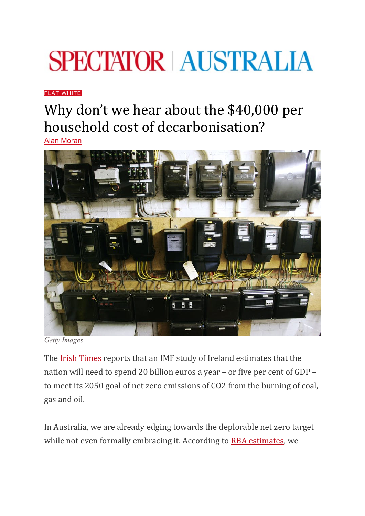## **SPECTATOR AUSTRALIA**

[FLAT WHITE](https://www.spectator.com.au/category/flat-white/)

## Why don't we hear about the \$40,000 per household cost of decarbonisation?

[Alan Moran](https://www.spectator.com.au/author/alanmoran/)



*Getty Images*

The [Irish Times](https://www.irishtimes.com/business/economy/state-needs-to-invest-20bn-a-year-to-achieve-emissions-target-imf-says-1.4595238?mc_cid=94fb1f90ea&mc_eid=38089d59cb) reports that an IMF study of Ireland estimates that the nation will need to spend 20 billion euros a year – or five per cent of GDP – to meet its 2050 goal of net zero emissions of CO2 from the burning of coal, gas and oil.

In Australia, we are already edging towards the deplorable net zero target while not even formally embracing it. According to [RBA estimates,](https://www.rba.gov.au/publications/bulletin/2020/mar/renewable-energy-investment-in-australia.html) we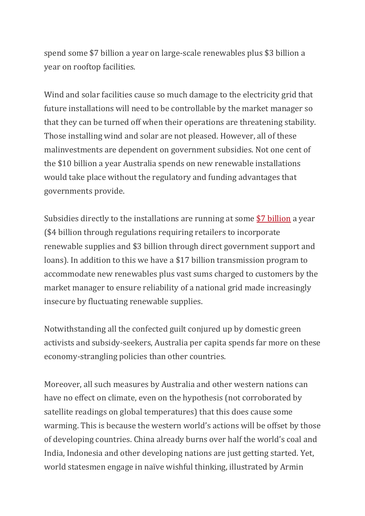spend some \$7 billion a year on large-scale renewables plus \$3 billion a year on rooftop facilities.

Wind and solar facilities cause so much damage to the electricity grid that future installations will need to be controllable by the market manager so that they can be turned off when their operations are threatening stability. Those installing wind and solar are not pleased. However, all of these malinvestments are dependent on government subsidies. Not one cent of the \$10 billion a year Australia spends on new renewable installations would take place without the regulatory and funding advantages that governments provide.

Subsidies directly to the installations are running at some [\\$7 billion](https://35b1ca50-ea91-45c2-825d-3e16b7926e46.filesusr.com/ugd/b6987c_afd260bfd8284f9db5d97d73fe52cedb.pdf) a year (\$4 billion through regulations requiring retailers to incorporate renewable supplies and \$3 billion through direct government support and loans). In addition to this we have a \$17 billion transmission program to accommodate new renewables plus vast sums charged to customers by the market manager to ensure reliability of a national grid made increasingly insecure by fluctuating renewable supplies.

Notwithstanding all the confected guilt conjured up by domestic green activists and subsidy-seekers, Australia per capita spends far more on these economy-strangling policies than other countries.

Moreover, all such measures by Australia and other western nations can have no effect on climate, even on the hypothesis (not corroborated by satellite readings on global temperatures) that this does cause some warming. This is because the western world's actions will be offset by those of developing countries. China already burns over half the world's coal and India, Indonesia and other developing nations are just getting started. Yet, world statesmen engage in naïve wishful thinking, illustrated by Armin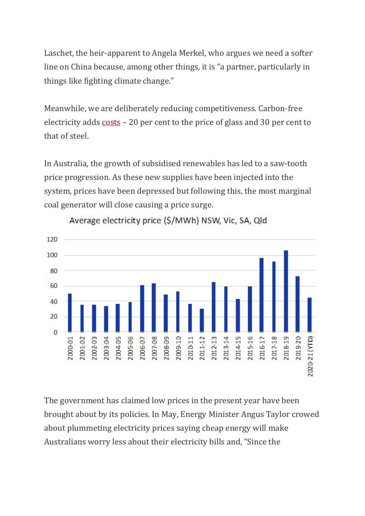Laschet, the heir-apparent to Angela Merkel, who argues we need a softer line on China because, among other things, it is "a partner, particularly in things like fighting climate change."

Meanwhile, we are deliberately reducing competitiveness. Carbon-free electricity adds [costs](https://www.bloomberg.com/news/articles/2021-06-18/the-climate-change-fight-is-adding-to-the-global-inflation-scare?mc_cid=94fb1f90ea&mc_eid=38089d59cb) – 20 per cent to the price of glass and 30 per cent to that of steel.

In Australia, the growth of subsidised renewables has led to a saw-tooth price progression. As these new supplies have been injected into the system, prices have been depressed but following this, the most marginal coal generator will close causing a price surge.



Average electricity price (\$/MWh) NSW, Vic, SA, Qld

The government has claimed low prices in the present year have been brought about by its policies. In May, Energy Minister Angus Taylor crowed about plummeting electricity prices saying cheap energy will make Australians worry less about their electricity bills and, "Since the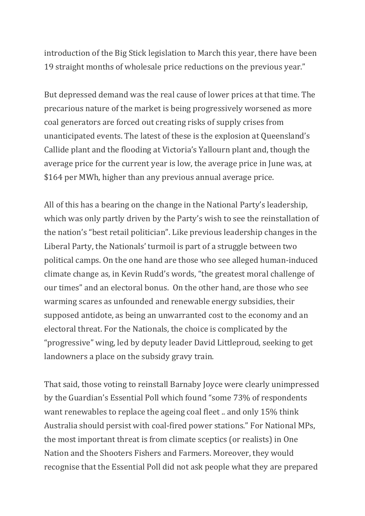introduction of the Big Stick legislation to March this year, there have been 19 straight months of wholesale price reductions on the previous year." 

But depressed demand was the real cause of lower prices at that time. The precarious nature of the market is being progressively worsened as more coal generators are forced out creating risks of supply crises from unanticipated events. The latest of these is the explosion at Queensland's Callide plant and the flooding at Victoria's Yallourn plant and, though the average price for the current year is low, the average price in June was, at \$164 per MWh, higher than any previous annual average price.

All of this has a bearing on the change in the National Party's leadership, which was only partly driven by the Party's wish to see the reinstallation of the nation's "best retail politician". Like previous leadership changes in the Liberal Party, the Nationals' turmoil is part of a struggle between two political camps. On the one hand are those who see alleged human-induced climate change as, in Kevin Rudd's words, "the greatest moral challenge of our times" and an electoral bonus. On the other hand, are those who see warming scares as unfounded and renewable energy subsidies, their supposed antidote, as being an unwarranted cost to the economy and an electoral threat. For the Nationals, the choice is complicated by the "progressive" wing, led by deputy leader David Littleproud, seeking to get landowners a place on the subsidy gravy train.

That said, those voting to reinstall Barnaby Joyce were clearly unimpressed by the Guardian's Essential Poll which found "some 73% of respondents want renewables to replace the ageing coal fleet .. and only 15% think Australia should persist with coal-fired power stations." For National MPs, the most important threat is from climate sceptics (or realists) in One Nation and the Shooters Fishers and Farmers. Moreover, they would recognise that the Essential Poll did not ask people what they are prepared